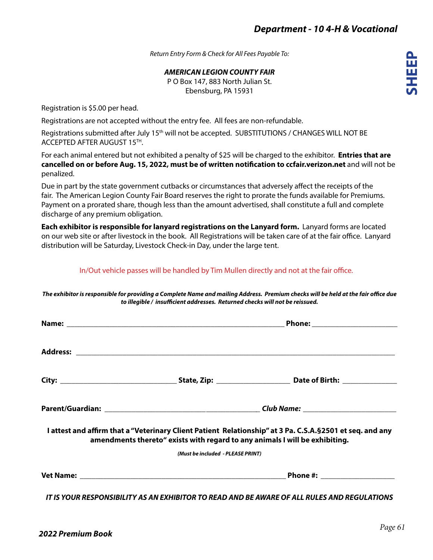**SHEEP**

*Return Entry Form & Check for All Fees Payable To:*

*AMERICAN LEGION COUNTY FAIR* P O Box 147, 883 North Julian St.

Ebensburg, PA 15931

Registration is \$5.00 per head.

Registrations are not accepted without the entry fee. All fees are non-refundable.

Registrations submitted after July 15<sup>th</sup> will not be accepted. SUBSTITUTIONS / CHANGES WILL NOT BE ACCEPTED AFTER AUGUST 15TH.

For each animal entered but not exhibited a penalty of \$25 will be charged to the exhibitor. **Entries that are cancelled on or before Aug. 15, 2022, must be of written notification to ccfair.verizon.net** and will not be penalized.

Due in part by the state government cutbacks or circumstances that adversely affect the receipts of the fair. The American Legion County Fair Board reserves the right to prorate the funds available for Premiums. Payment on a prorated share, though less than the amount advertised, shall constitute a full and complete discharge of any premium obligation.

**Each exhibitor is responsible for lanyard registrations on the Lanyard form.** Lanyard forms are located on our web site or after livestock in the book. All Registrations will be taken care of at the fair office. Lanyard distribution will be Saturday, Livestock Check-in Day, under the large tent.

## In/Out vehicle passes will be handled by Tim Mullen directly and not at the fair office.

*The exhibitor is responsible for providing a Complete Name and mailing Address. Premium checks will be held at the fair office due to illegible / insufficient addresses. Returned checks will not be reissued.*

|                                                                             | Phone: _______________________                                                                             |  |  |
|-----------------------------------------------------------------------------|------------------------------------------------------------------------------------------------------------|--|--|
|                                                                             |                                                                                                            |  |  |
|                                                                             |                                                                                                            |  |  |
|                                                                             |                                                                                                            |  |  |
| amendments thereto" exists with regard to any animals I will be exhibiting. | I attest and affirm that a "Veterinary Client Patient Relationship" at 3 Pa. C.S.A. § 2501 et seq. and any |  |  |
| (Must be included - PLEASE PRINT)                                           |                                                                                                            |  |  |
|                                                                             |                                                                                                            |  |  |
|                                                                             | <u>IT IS YOUR RESPONSIBILITY AS AN EXHIBITOR TO READ AND BE AWARE OF ALL RULES AND REGULATIONS </u>        |  |  |